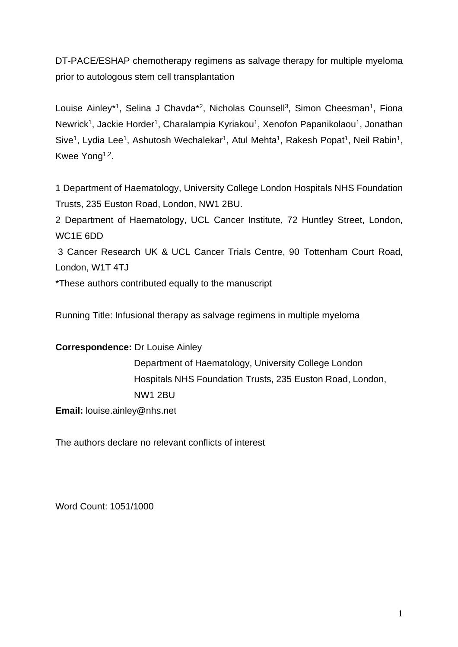DT-PACE/ESHAP chemotherapy regimens as salvage therapy for multiple myeloma prior to autologous stem cell transplantation

Louise Ainley\*<sup>1</sup>, Selina J Chavda\*<sup>2</sup>, Nicholas Counsell<sup>3</sup>, Simon Cheesman<sup>1</sup>, Fiona Newrick<sup>1</sup>, Jackie Horder<sup>1</sup>, Charalampia Kyriakou<sup>1</sup>, Xenofon Papanikolaou<sup>1</sup>, Jonathan Sive<sup>1</sup>, Lydia Lee<sup>1</sup>, Ashutosh Wechalekar<sup>1</sup>, Atul Mehta<sup>1</sup>, Rakesh Popat<sup>1</sup>, Neil Rabin<sup>1</sup>, Kwee Yong<sup>1,2</sup>.

1 Department of Haematology, University College London Hospitals NHS Foundation Trusts, 235 Euston Road, London, NW1 2BU.

2 Department of Haematology, UCL Cancer Institute, 72 Huntley Street, London, WC1E 6DD

3 Cancer Research UK & UCL Cancer Trials Centre, 90 Tottenham Court Road, London, W1T 4TJ

\*These authors contributed equally to the manuscript

Running Title: Infusional therapy as salvage regimens in multiple myeloma

## **Correspondence:** Dr Louise Ainley

Department of Haematology, University College London Hospitals NHS Foundation Trusts, 235 Euston Road, London, NW1 2BU

**Email:** louise.ainley@nhs.net

The authors declare no relevant conflicts of interest

Word Count: 1051/1000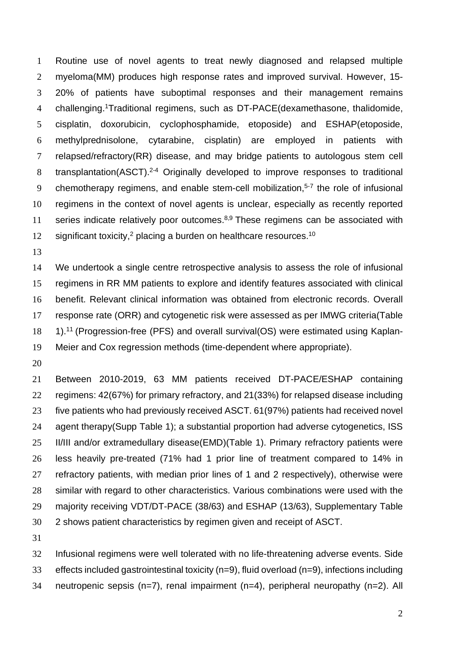Routine use of novel agents to treat newly diagnosed and relapsed multiple myeloma(MM) produces high response rates and improved survival. However, 15- 20% of patients have suboptimal responses and their management remains 4 challenging.<sup>1</sup>Traditional regimens, such as DT-PACE(dexamethasone, thalidomide, cisplatin, doxorubicin, cyclophosphamide, etoposide) and ESHAP(etoposide, methylprednisolone, cytarabine, cisplatin) are employed in patients with relapsed/refractory(RR) disease, and may bridge patients to autologous stem cell 8 transplantation(ASCT).<sup>2-4</sup> Originally developed to improve responses to traditional 9 chemotherapy regimens, and enable stem-cell mobilization, $5-7$  the role of infusional regimens in the context of novel agents is unclear, especially as recently reported 11 series indicate relatively poor outcomes.<sup>8,9</sup> These regimens can be associated with 12 significant toxicity,<sup>2</sup> placing a burden on healthcare resources.<sup>10</sup>

 We undertook a single centre retrospective analysis to assess the role of infusional regimens in RR MM patients to explore and identify features associated with clinical benefit. Relevant clinical information was obtained from electronic records. Overall response rate (ORR) and cytogenetic risk were assessed as per IMWG criteria(Table 18 1).<sup>11</sup> (Progression-free (PFS) and overall survival(OS) were estimated using Kaplan-Meier and Cox regression methods (time-dependent where appropriate).

 Between 2010-2019, 63 MM patients received DT-PACE/ESHAP containing regimens: 42(67%) for primary refractory, and 21(33%) for relapsed disease including five patients who had previously received ASCT. 61(97%) patients had received novel 24 agent therapy(Supp Table 1); a substantial proportion had adverse cytogenetics, ISS 25 II/III and/or extramedullary disease(EMD)(Table 1). Primary refractory patients were less heavily pre-treated (71% had 1 prior line of treatment compared to 14% in refractory patients, with median prior lines of 1 and 2 respectively), otherwise were similar with regard to other characteristics. Various combinations were used with the majority receiving VDT/DT-PACE (38/63) and ESHAP (13/63), Supplementary Table 2 shows patient characteristics by regimen given and receipt of ASCT.

 Infusional regimens were well tolerated with no life-threatening adverse events. Side effects included gastrointestinal toxicity (n=9), fluid overload (n=9), infections including neutropenic sepsis (n=7), renal impairment (n=4), peripheral neuropathy (n=2). All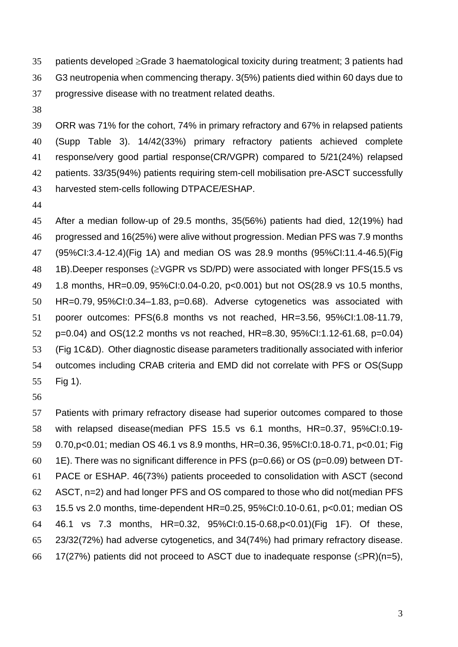35 patients developed  $\geq$ Grade 3 haematological toxicity during treatment; 3 patients had G3 neutropenia when commencing therapy. 3(5%) patients died within 60 days due to progressive disease with no treatment related deaths.

 ORR was 71% for the cohort, 74% in primary refractory and 67% in relapsed patients (Supp Table 3). 14/42(33%) primary refractory patients achieved complete response/very good partial response(CR/VGPR) compared to 5/21(24%) relapsed patients. 33/35(94%) patients requiring stem-cell mobilisation pre-ASCT successfully harvested stem-cells following DTPACE/ESHAP.

 After a median follow-up of 29.5 months, 35(56%) patients had died, 12(19%) had progressed and 16(25%) were alive without progression. Median PFS was 7.9 months (95%CI:3.4-12.4)(Fig 1A) and median OS was 28.9 months (95%CI:11.4-46.5)(Fig 48 1B). Deeper responses ( $\geq$ VGPR vs SD/PD) were associated with longer PFS(15.5 vs 1.8 months, HR=0.09, 95%CI:0.04-0.20, p<0.001) but not OS(28.9 vs 10.5 months, HR=0.79, 95%CI:0.34–1.83, p=0.68). Adverse cytogenetics was associated with poorer outcomes: PFS(6.8 months vs not reached, HR=3.56, 95%CI:1.08-11.79, p=0.04) and OS(12.2 months vs not reached, HR=8.30, 95%CI:1.12-61.68, p=0.04) (Fig 1C&D). Other diagnostic disease parameters traditionally associated with inferior outcomes including CRAB criteria and EMD did not correlate with PFS or OS(Supp Fig 1).

 Patients with primary refractory disease had superior outcomes compared to those with relapsed disease(median PFS 15.5 vs 6.1 months, HR=0.37, 95%CI:0.19- 0.70,p<0.01; median OS 46.1 vs 8.9 months, HR=0.36, 95%CI:0.18-0.71, p<0.01; Fig 60 1E). There was no significant difference in PFS ( $p=0.66$ ) or OS ( $p=0.09$ ) between DT- PACE or ESHAP. 46(73%) patients proceeded to consolidation with ASCT (second ASCT, n=2) and had longer PFS and OS compared to those who did not(median PFS 15.5 vs 2.0 months, time-dependent HR=0.25, 95%CI:0.10-0.61, p<0.01; median OS 46.1 vs 7.3 months, HR=0.32, 95%CI:0.15-0.68,p<0.01)(Fig 1F). Of these, 23/32(72%) had adverse cytogenetics, and 34(74%) had primary refractory disease. 66 17(27%) patients did not proceed to ASCT due to inadequate response ( $\leq PR$ )(n=5),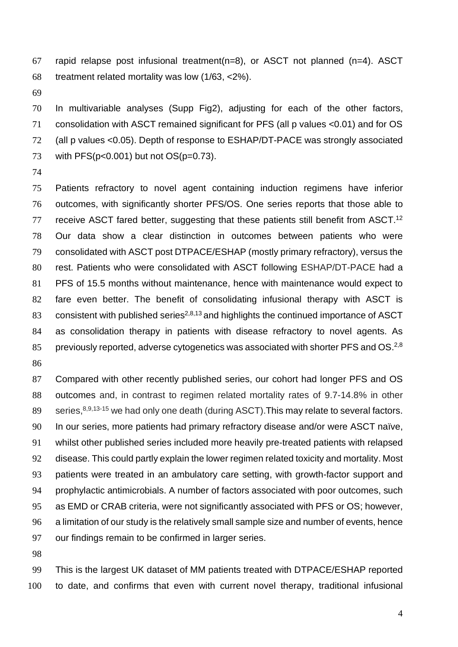rapid relapse post infusional treatment(n=8), or ASCT not planned (n=4). ASCT treatment related mortality was low (1/63, <2%).

 In multivariable analyses (Supp Fig2), adjusting for each of the other factors, consolidation with ASCT remained significant for PFS (all p values <0.01) and for OS (all p values <0.05). Depth of response to ESHAP/DT-PACE was strongly associated 73 with PFS(p<0.001) but not OS(p=0.73).

 Patients refractory to novel agent containing induction regimens have inferior outcomes, with significantly shorter PFS/OS. One series reports that those able to receive ASCT fared better, suggesting that these patients still benefit from ASCT.<sup>12</sup> Our data show a clear distinction in outcomes between patients who were consolidated with ASCT post DTPACE/ESHAP (mostly primary refractory), versus the rest. Patients who were consolidated with ASCT following ESHAP/DT-PACE had a PFS of 15.5 months without maintenance, hence with maintenance would expect to fare even better. The benefit of consolidating infusional therapy with ASCT is 83 consistent with published series<sup>2,8,13</sup> and highlights the continued importance of ASCT as consolidation therapy in patients with disease refractory to novel agents. As 85 previously reported, adverse cytogenetics was associated with shorter PFS and OS.<sup>2,8</sup> 

 Compared with other recently published series, our cohort had longer PFS and OS outcomes and, in contrast to regimen related mortality rates of 9.7-14.8% in other series,  $8,9,13-15$  we had only one death (during ASCT). This may relate to several factors. In our series, more patients had primary refractory disease and/or were ASCT naïve, whilst other published series included more heavily pre-treated patients with relapsed disease. This could partly explain the lower regimen related toxicity and mortality. Most patients were treated in an ambulatory care setting, with growth-factor support and prophylactic antimicrobials. A number of factors associated with poor outcomes, such as EMD or CRAB criteria, were not significantly associated with PFS or OS; however, a limitation of our study is the relatively small sample size and number of events, hence our findings remain to be confirmed in larger series.

 This is the largest UK dataset of MM patients treated with DTPACE/ESHAP reported to date, and confirms that even with current novel therapy, traditional infusional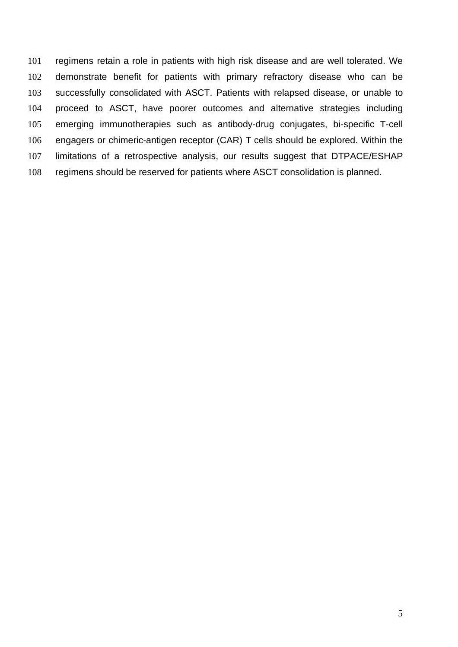regimens retain a role in patients with high risk disease and are well tolerated. We demonstrate benefit for patients with primary refractory disease who can be successfully consolidated with ASCT. Patients with relapsed disease, or unable to proceed to ASCT, have poorer outcomes and alternative strategies including emerging immunotherapies such as antibody-drug conjugates, bi-specific T-cell engagers or chimeric-antigen receptor (CAR) T cells should be explored. Within the limitations of a retrospective analysis, our results suggest that DTPACE/ESHAP regimens should be reserved for patients where ASCT consolidation is planned.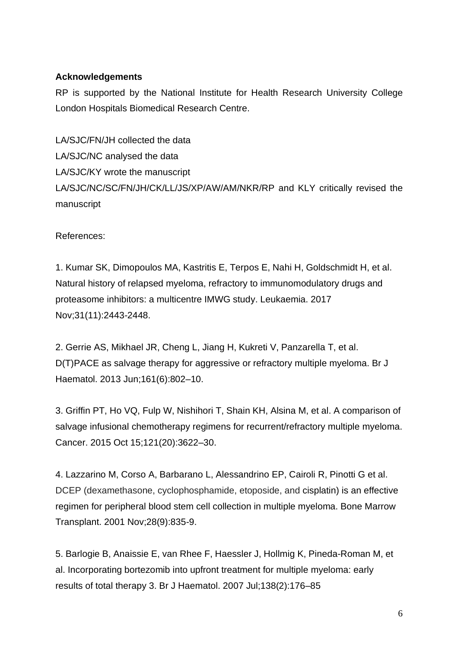## **Acknowledgements**

RP is supported by the National Institute for Health Research University College London Hospitals Biomedical Research Centre.

LA/SJC/FN/JH collected the data LA/SJC/NC analysed the data LA/SJC/KY wrote the manuscript LA/SJC/NC/SC/FN/JH/CK/LL/JS/XP/AW/AM/NKR/RP and KLY critically revised the manuscript

References:

1. Kumar SK, Dimopoulos MA, Kastritis E, Terpos E, Nahi H, Goldschmidt H, et al. Natural history of relapsed myeloma, refractory to immunomodulatory drugs and proteasome inhibitors: a multicentre IMWG study. Leukaemia. 2017 Nov;31(11):2443-2448.

2. Gerrie AS, Mikhael JR, Cheng L, Jiang H, Kukreti V, Panzarella T, et al. D(T)PACE as salvage therapy for aggressive or refractory multiple myeloma. Br J Haematol. 2013 Jun;161(6):802–10.

3. Griffin PT, Ho VQ, Fulp W, Nishihori T, Shain KH, Alsina M, et al. A comparison of salvage infusional chemotherapy regimens for recurrent/refractory multiple myeloma. Cancer. 2015 Oct 15;121(20):3622–30.

4. Lazzarino M, Corso A, Barbarano L, Alessandrino EP, Cairoli R, Pinotti G et al. DCEP (dexamethasone, cyclophosphamide, etoposide, and cisplatin) is an effective regimen for peripheral blood stem cell collection in multiple myeloma. Bone Marrow Transplant. 2001 Nov;28(9):835-9.

5. Barlogie B, Anaissie E, van Rhee F, Haessler J, Hollmig K, Pineda-Roman M, et al. Incorporating bortezomib into upfront treatment for multiple myeloma: early results of total therapy 3. Br J Haematol. 2007 Jul;138(2):176–85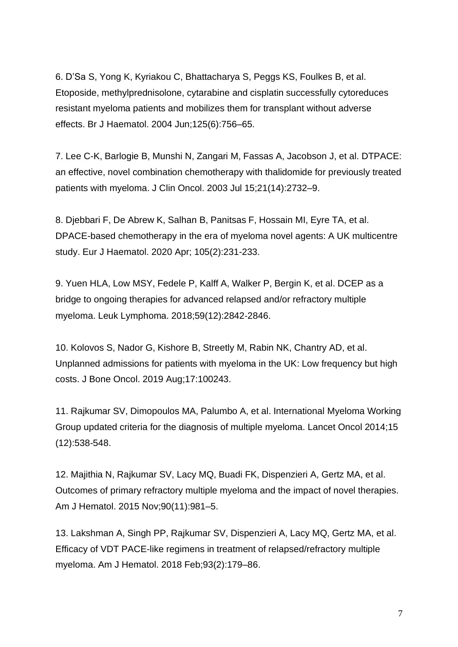6. D'Sa S, Yong K, Kyriakou C, Bhattacharya S, Peggs KS, Foulkes B, et al. Etoposide, methylprednisolone, cytarabine and cisplatin successfully cytoreduces resistant myeloma patients and mobilizes them for transplant without adverse effects. Br J Haematol. 2004 Jun;125(6):756–65.

7. Lee C-K, Barlogie B, Munshi N, Zangari M, Fassas A, Jacobson J, et al. DTPACE: an effective, novel combination chemotherapy with thalidomide for previously treated patients with myeloma. J Clin Oncol. 2003 Jul 15;21(14):2732–9.

8. Djebbari F, De Abrew K, Salhan B, Panitsas F, Hossain MI, Eyre TA, et al. DPACE-based chemotherapy in the era of myeloma novel agents: A UK multicentre study. Eur J Haematol. 2020 Apr; 105(2):231-233.

9. Yuen HLA, Low MSY, Fedele P, Kalff A, Walker P, Bergin K, et al. DCEP as a bridge to ongoing therapies for advanced relapsed and/or refractory multiple myeloma. Leuk Lymphoma. 2018;59(12):2842‐2846.

10. Kolovos S, Nador G, Kishore B, Streetly M, Rabin NK, Chantry AD, et al. Unplanned admissions for patients with myeloma in the UK: Low frequency but high costs. J Bone Oncol. 2019 Aug;17:100243.

11. Rajkumar SV, Dimopoulos MA, Palumbo A, et al. International Myeloma Working Group updated criteria for the diagnosis of multiple myeloma. Lancet Oncol 2014;15 (12):538-548.

12. Majithia N, Rajkumar SV, Lacy MQ, Buadi FK, Dispenzieri A, Gertz MA, et al. Outcomes of primary refractory multiple myeloma and the impact of novel therapies. Am J Hematol. 2015 Nov;90(11):981–5.

13. Lakshman A, Singh PP, Rajkumar SV, Dispenzieri A, Lacy MQ, Gertz MA, et al. Efficacy of VDT PACE-like regimens in treatment of relapsed/refractory multiple myeloma. Am J Hematol. 2018 Feb;93(2):179–86.